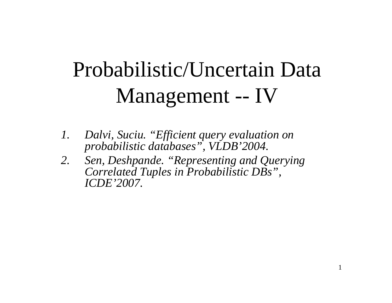# Probabilistic/Uncertain Data Management -- IV

- *1. Dalvi, Suciu. "Efficient query evaluation on probabilistic databases", VLDB'2004.*
- *2. Sen, Deshpande. "Representing and Querying Correlated Tuples in Probabilistic DBs", ICDE'2007.*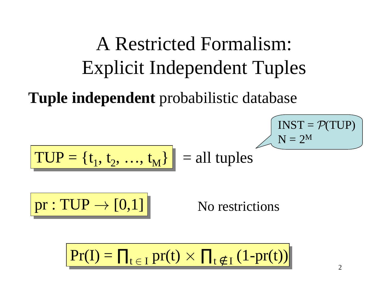## A Restricted Formalism: Explicit Independent Tuples

**Tuple independent** probabilistic database

$$
TUP = \{t_1, t_2, ..., t_M\}\n = all tuples
$$

 $pr: TUP \rightarrow [0,1]$  No restrictions

$$
Pr(I) = \prod_{t \in I} pr(t) \times \prod_{t \notin I} (1-pr(t))
$$

 $\mathrm{INST} = \mathcal{P}(\mathrm{TUP})$ 

 $\mathrm{N}=2^\mathrm{M}$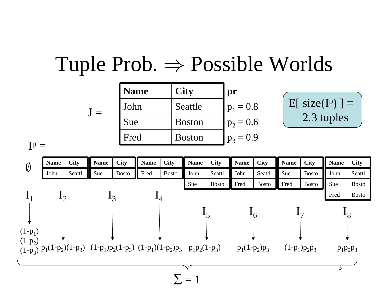#### Tuple Prob.  $\Rightarrow$  Possible Worlds

| <b>Name</b> | <b>City</b>   | pr          |
|-------------|---------------|-------------|
| John        | Seattle       | $p_1 = 0.8$ |
| Sue         | <b>Boston</b> | $p_2 = 0.6$ |
| Fred        | <b>Boston</b> | $p_3 = 0.9$ |

$$
\fbox{E[ size(Ip)] =}
$$
  
2.3 tuples

 $I^p =$ 

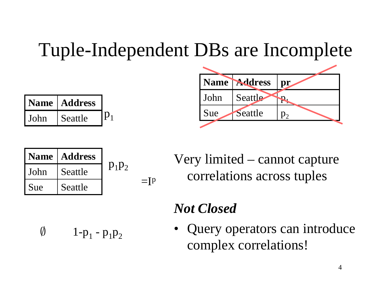#### Tuple-Independent DBs are Incomplete

| <b>Name</b> | <b>Address</b> |  |
|-------------|----------------|--|
| John        | Seattle        |  |



|        | Name   Address |          |                          |
|--------|----------------|----------|--------------------------|
| l John | Seattle        | $p_1p_2$ |                          |
| I Sue  | Seattle        |          | $\overline{\phantom{0}}$ |

Very limited – cannot capture correlations across tuples

#### *Not Closed*

 $\emptyset$  1-p<sub>1</sub> - p<sub>1</sub>p<sub>2</sub>

• Query operators can introduce complex correlations!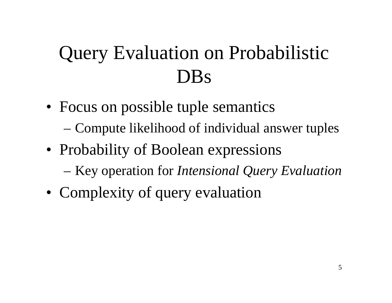### Query Evaluation on Probabilistic DBs

- Focus on possible tuple semantics
	- –Compute likelihood of individual answer tuples
- Probability of Boolean expressions
	- –Key operation for *Intensional Query Evaluation*
- Complexity of query evaluation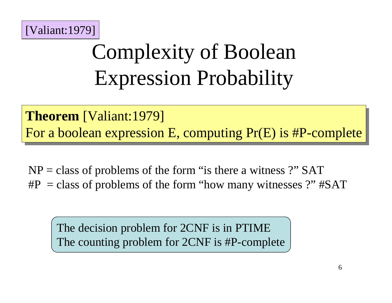

# Complexity of Boolean Expression Probability

**Theorem** [Valiant:1979] **Theorem** [Valiant:1979] For a boolean expression E, computing Pr(E) is #P-complete For a boolean expression E, computing Pr(E) is #P-complete

NP <sup>=</sup> class of problems of the form "is there <sup>a</sup> witness ?" SAT #P <sup>=</sup> class of problems of the form "how many witnesses ?" #SAT

The decision problem for 2CNF is in PTIME The counting problem for 2CNF is #P-complete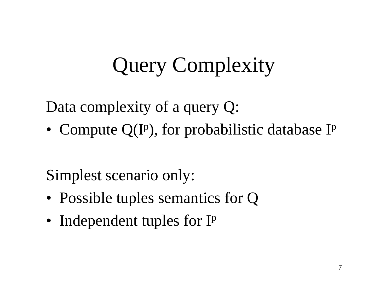# Query Complexity

Data complexity of <sup>a</sup> query Q:

• Compute  $Q(I^p)$ , for probabilistic database I<sup>p</sup>

Simplest scenario only:

- Possible tuples semantics for Q
- Independent tuples for I<sup>p</sup>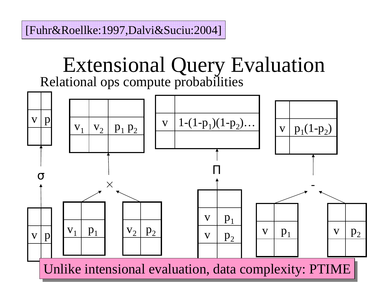[Fuhr&Roellke:1997,Dalvi&Suciu:2004]

#### Extensional Query Evaluation Relational ops compute probabilities

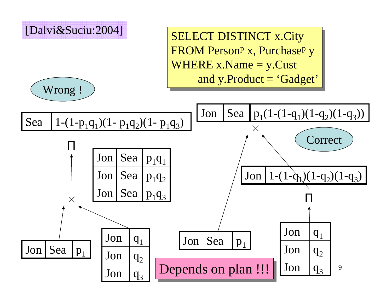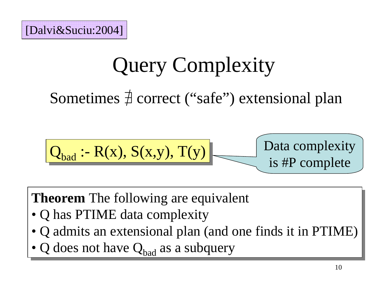## Query Complexity

Sometimes  $\frac{\pi}{2}$  correct ("safe") extensional plan

$$
\boxed{\mathbf{Q}_{bad} \cdot \mathbf{R}(x), S(x,y), T(y)}
$$
   
Data complexity  
is #P complete

**Theorem** The following are equivalent **Theorem** The following are equivalent

- Q has PTIME data complexity Q has PTIME data complexity
- Q admits an extensional plan (and one finds it in PTIME) Q admits an extensional plan (and one finds it in PTIME)
- Q does not have  $Q_{bad}$  as a subquery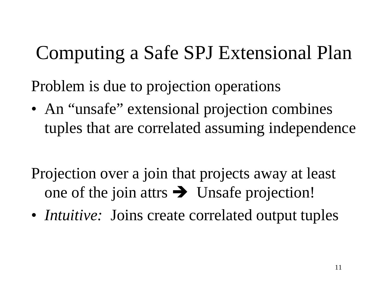### Computing <sup>a</sup> Safe SPJ Extensional Plan

Problem is due to projection operations

- An "unsafe" extensional projection combines tuples that are correlated assuming independence
- Projection over <sup>a</sup> join that projects away at least one of the join attrs  $\rightarrow$  Unsafe projection!
- *Intuitive:* Joins create correlated output tuples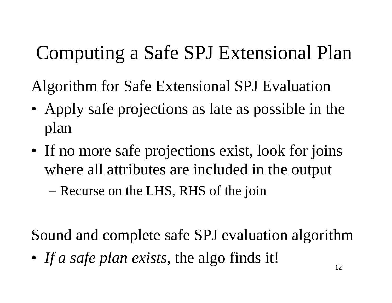## Computing <sup>a</sup> Safe SPJ Extensional Plan

Algorithm for Safe Extensional SPJ Evaluation

- Apply safe projections as late as possible in the plan
- If no more safe projections exist, look for joins where all attributes are included in the output

–– Recurse on the LHS, RHS of the join

Sound and complete safe SPJ evaluation algorithm

• *If <sup>a</sup> safe plan exists*, the algo finds it!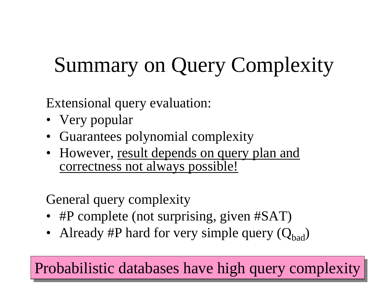# Summary on Query Complexity

Extensional query evaluation:

- Very popular
- Guarantees polynomial complexity
- However, result depends on query plan and correctness not always possible!

General query complexity

- #P complete (not surprising, given #SAT)
- Already #P hard for very simple query  $(Q_{bad})$

 $\overline{\mathbf{Y}}$ Probabilistic databases have high query complexity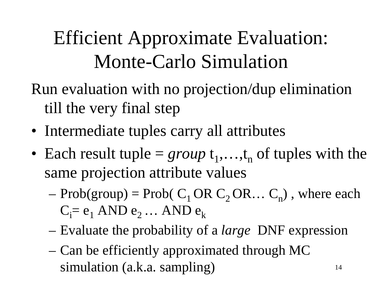## Efficient Approximate Evaluation: Monte-Carlo Simulation

Run evaluation with no projection/dup elimination till the very final step

- Intermediate tuples carry all attributes
- Each result tuple  $= group \ t_1,...,t_n$  of tuples with the same projection attribute values
	- – $P = Prob(\text{group}) = Prob(C_1 \text{OR } C_2 \text{OR} \dots C_n)$ , where each  $\mathrm{C}_{\mathrm{i}}\mathrm{=}\,\mathrm{e}_{1}$  AND  $\mathrm{e}_{2}$  … AND  $\mathrm{e}_{\mathrm{k}}$

14

- –Evaluate the probability of <sup>a</sup> *large* DNF expression
- – Can be efficiently approximated through MC simulation (a.k.a. sampling)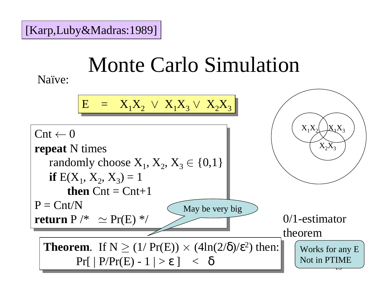# Monte Carlo Simulation

Naïve:

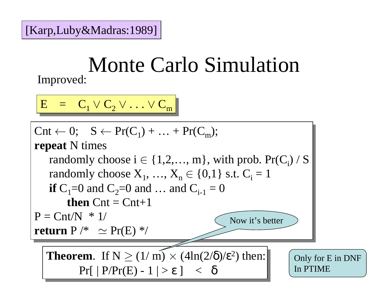#### Monte Carlo Simulation Improved:

$$
E = C_1 \vee C_2 \vee \ldots \vee C_m
$$

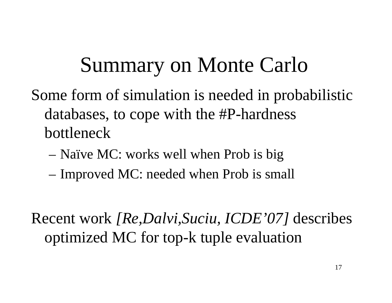## Summary on Monte Carlo

Some form of simulation is needed in probabilistic databases, to cope with the #P-hardness bottleneck

- Naïve MC: works well when Prob is big
- –– Improved MC: needed when Prob is small

Recent work *[Re,Dalvi,Suciu, ICDE'07]* describes optimized MC for top-k tuple evaluation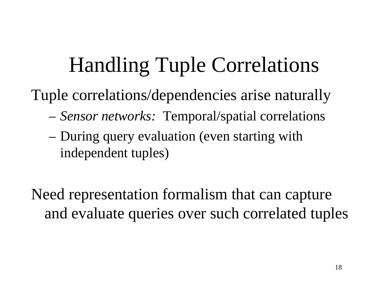## Handling Tuple Correlations

Tuple correlations/dependencies arise naturally

- –*Sensor networks:* Temporal/spatial correlations
- – During query evaluation (even starting with independent tuples)

Need representation formalism that can capture and evaluate queries over such correlated tuples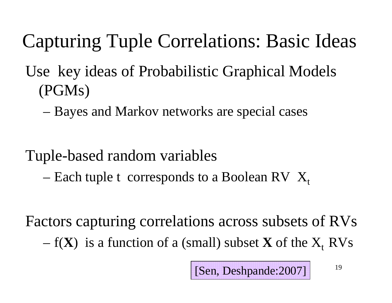- Capturing Tuple Correlations: Basic Ideas
- Use key ideas of Probabilistic Graphical Models (PGMs)
	- –Bayes and Markov networks are special cases
- Tuple-based random variables
	- –– Each tuple t  $\,$  corresponds to a Boolean RV  $\,$   $\rm X_t$

Factors capturing correlations across subsets of RVs – $f(X)$  is a function of a (small) subset  $X$  of the  $X_t$  RVs

19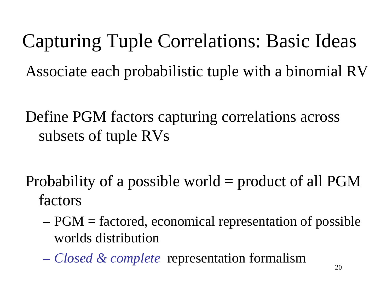Capturing Tuple Correlations: Basic Ideas Associate each probabilistic tuple with <sup>a</sup> binomial RV

Define PGM factors capturing correlations across subsets of tuple RVs

Probability of <sup>a</sup> possible world <sup>=</sup> product of all PGM factors

- PGM <sup>=</sup> factored, economical representation of possible worlds distribution
- *Closed & complete* representation formalism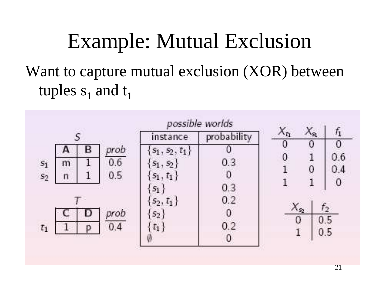## Example: Mutual Exclusion Want to capture mutual exclusion (XOR) between tuples  $\mathbf{s}_1$  and  $\mathbf{t}_1$



21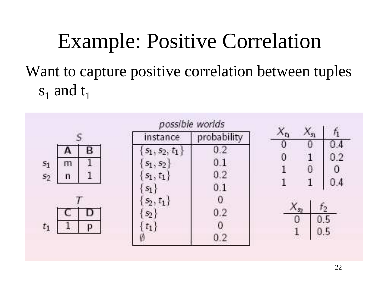## Example: Positive Correlation Want to capture positive correlation between tuples  $\mathrm{s}_1$  and  $\mathrm{t}_1$

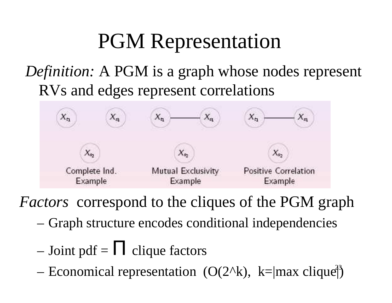## PGM Representation

#### *Definition:* A PGM is <sup>a</sup> graph whose nodes represen<sup>t</sup> RVs and edges represen<sup>t</sup> correlations



*Factors* correspond to the cliques of the PGM graph

- –Graph structure encodes conditional independencies
- – $-$  Joint pdf =  $\Pi$  clique factors
- $\mathcal{L}$  Economical representation  $(\Omega(2\Delta k) \mid k =$ lmay clique<sup>33</sup> - Economical representation  $(O(2^k), k=|max \space$ clique<sup>1</sup>)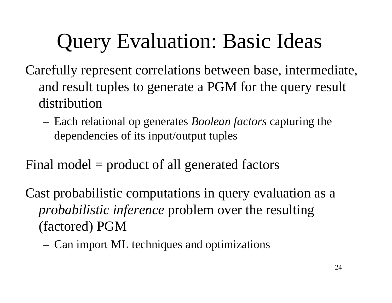# Query Evaluation: Basic Ideas

- Carefully represen<sup>t</sup> correlations between base, intermediate, and result tuples to generate <sup>a</sup> PGM for the query result distribution
	- Each relational op generates *Boolean factors* capturing the dependencies of its input/output tuples
- Final model <sup>=</sup> product of all generated factors
- Cast probabilistic computations in query evaluation as <sup>a</sup> *probabilistic inference* problem over the resulting (factored) PGM
	- Can import ML techniques and optimizations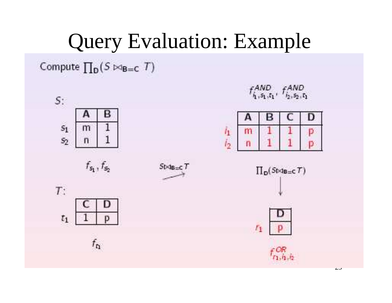## Query Evaluation: Example

Compute  $\prod_{D} (S \bowtie_{B=C} T)$ 

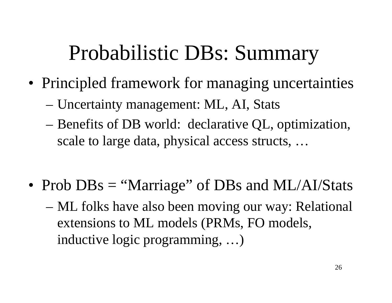## Probabilistic DBs: Summary

- Principled framework for managing uncertainties
	- –Uncertainty management: ML, AI, Stats
	- Benefits of DB world: declarative QL, optimization, scale to large data, physical access structs, …
- Prob DBs = "Marriage" of DBs and ML/AI/Stats
	- ML folks have also been moving our way: Relational extensions to ML models (PRMs, FO models, inductive logic programming, …)